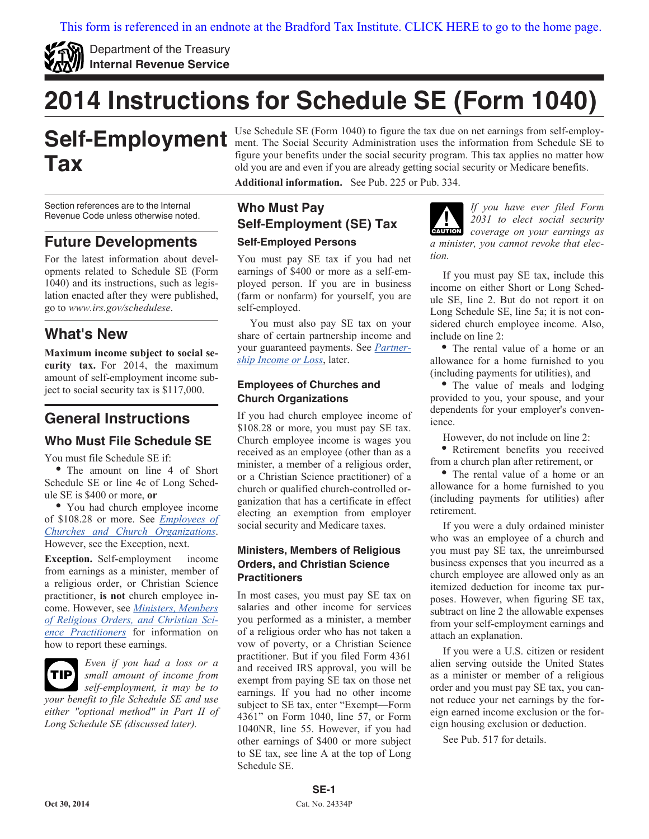[This form is referenced in an endnote at the Bradford Tax Institute. CLICK HERE to go to the home page.](bradfordtaxinstitute.com)

<span id="page-0-0"></span>

Department of the Treasury **Internal Revenue Service**

# **2014 Instructions for Schedule SE (Form 1040)**

## **Self-Employment Tax**

Section references are to the Internal Revenue Code unless otherwise noted.

## **Future Developments**

For the latest information about developments related to Schedule SE (Form 1040) and its instructions, such as legislation enacted after they were published, go to *www.irs.gov/schedulese*.

## **What's New**

**Maximum income subject to social security tax.** For 2014, the maximum amount of self-employment income subject to social security tax is \$117,000.

## **General Instructions**

## **Who Must File Schedule SE**

You must file Schedule SE if:

The amount on line 4 of Short Schedule SE or line 4c of Long Schedule SE is \$400 or more, **or**

You had church employee income of \$108.28 or more. See *Employees of Churches and Church Organizations*. However, see the Exception, next.

**Exception.** Self-employment income from earnings as a minister, member of a religious order, or Christian Science practitioner, **is not** church employee income. However, see *Ministers, Members of Religious Orders, and Christian Science Practitioners* for information on how to report these earnings.



*Even if you had a loss or a small amount of income from selfemployment, it may be to your benefit to file Schedule SE and use* 

*either "optional method" in Part II of Long Schedule SE (discussed later).*

Use Schedule SE (Form 1040) to figure the tax due on net earnings from self-employment. The Social Security Administration uses the information from Schedule SE to figure your benefits under the social security program. This tax applies no matter how old you are and even if you are already getting social security or Medicare benefits.

**Additional information.** See Pub. 225 or Pub. 334.

## **Who Must Pay Self-Employment (SE) Tax Self-Employed Persons**

You must pay SE tax if you had net earnings of \$400 or more as a self-employed person. If you are in business (farm or nonfarm) for yourself, you are self-employed.

You must also pay SE tax on your share of certain partnership income and your guaranteed payments. See *[Partner](#page-3-0)[ship Income or Loss](#page-3-0)*, later.

#### **Employees of Churches and Church Organizations**

If you had church employee income of \$108.28 or more, you must pay SE tax. Church employee income is wages you received as an employee (other than as a minister, a member of a religious order, or a Christian Science practitioner) of a church or qualified church-controlled organization that has a certificate in effect electing an exemption from employer social security and Medicare taxes.

#### **Ministers, Members of Religious Orders, and Christian Science Practitioners**

In most cases, you must pay SE tax on salaries and other income for services you performed as a minister, a member of a religious order who has not taken a vow of poverty, or a Christian Science practitioner. But if you filed Form 4361 and received IRS approval, you will be exempt from paying SE tax on those net earnings. If you had no other income subject to SE tax, enter "Exempt—Form 4361" on Form 1040, line 57, or Form 1040NR, line 55. However, if you had other earnings of \$400 or more subject to SE tax, see line A at the top of Long Schedule SE.



*If you have ever filed Form 2031 to elect social security* **caution** *coverage on your earnings as a minister, you cannot revoke that election.*

If you must pay SE tax, include this income on either Short or Long Schedule SE, line 2. But do not report it on Long Schedule SE, line 5a; it is not considered church employee income. Also, include on line 2:

The rental value of a home or an allowance for a home furnished to you (including payments for utilities), and

• The value of meals and lodging provided to you, your spouse, and your dependents for your employer's convenience.

However, do not include on line 2:

Retirement benefits you received from a church plan after retirement, or

• The rental value of a home or an allowance for a home furnished to you (including payments for utilities) after retirement.

If you were a duly ordained minister who was an employee of a church and you must pay SE tax, the unreimbursed business expenses that you incurred as a church employee are allowed only as an itemized deduction for income tax purposes. However, when figuring SE tax, subtract on line 2 the allowable expenses from your self-employment earnings and attach an explanation.

If you were a U.S. citizen or resident alien serving outside the United States as a minister or member of a religious order and you must pay SE tax, you cannot reduce your net earnings by the foreign earned income exclusion or the foreign housing exclusion or deduction.

See Pub. 517 for details.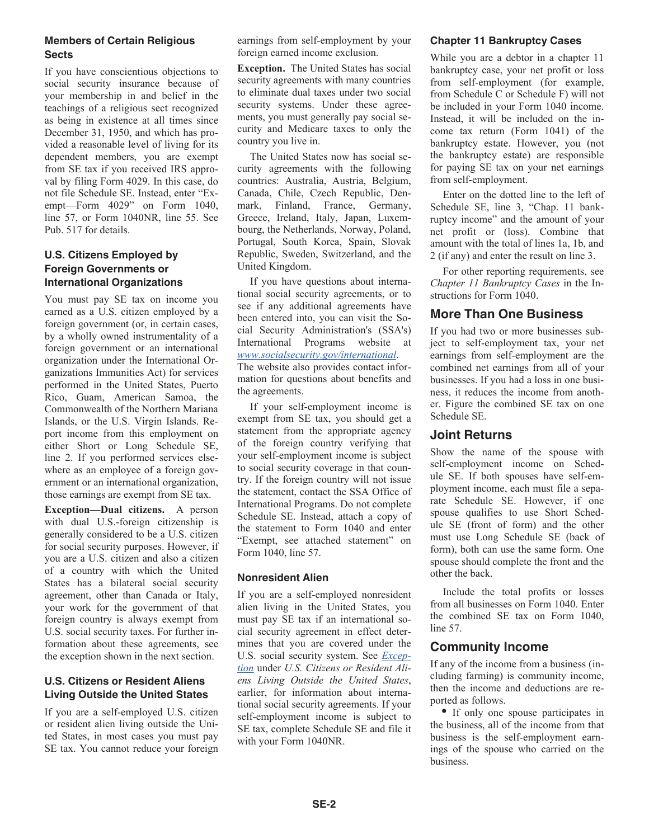#### **Members of Certain Religious Sects**

If you have conscientious objections to social security insurance because of your membership in and belief in the teachings of a religious sect recognized as being in existence at all times since December 31, 1950, and which has provided a reasonable level of living for its dependent members, you are exempt from SE tax if you received IRS approval by filing Form 4029. In this case, do not file Schedule SE. Instead, enter "Exempt—Form 4029" on Form 1040, line 57, or Form 1040NR, line 55. See Pub. 517 for details.

#### **U.S. Citizens Employed by Foreign Governments or International Organizations**

You must pay SE tax on income you earned as a U.S. citizen employed by a foreign government (or, in certain cases, by a wholly owned instrumentality of a foreign government or an international organization under the International Organizations Immunities Act) for services performed in the United States, Puerto Rico, Guam, American Samoa, the Commonwealth of the Northern Mariana Islands, or the U.S. Virgin Islands. Report income from this employment on either Short or Long Schedule SE, line 2. If you performed services elsewhere as an employee of a foreign government or an international organization, those earnings are exempt from SE tax.

**Exception—Dual citizens.** A person with dual U.S.-foreign citizenship is generally considered to be a U.S. citizen for social security purposes. However, if you are a U.S. citizen and also a citizen of a country with which the United States has a bilateral social security agreement, other than Canada or Italy, your work for the government of that foreign country is always exempt from U.S. social security taxes. For further information about these agreements, see the exception shown in the next section.

#### **U.S. Citizens or Resident Aliens Living Outside the United States**

If you are a self-employed U.S. citizen or resident alien living outside the United States, in most cases you must pay SE tax. You cannot reduce your foreign

earnings from self-employment by your foreign earned income exclusion.

**Exception.** The United States has social security agreements with many countries to eliminate dual taxes under two social security systems. Under these agreements, you must generally pay social security and Medicare taxes to only the country you live in.

The United States now has social security agreements with the following countries: Australia, Austria, Belgium, Canada, Chile, Czech Republic, Denmark, Finland, France, Germany, Greece, Ireland, Italy, Japan, Luxembourg, the Netherlands, Norway, Poland, Portugal, South Korea, Spain, Slovak Republic, Sweden, Switzerland, and the United Kingdom.

If you have questions about international social security agreements, or to see if any additional agreements have been entered into, you can visit the Social Security Administration's (SSA's) International Programs website at *[www.socialsecurity.gov/international](http://www.socialsecurity.gov/international)*. The website also provides contact information for questions about benefits and the agreements.

If your self-employment income is exempt from SE tax, you should get a statement from the appropriate agency of the foreign country verifying that your self-employment income is subject to social security coverage in that country. If the foreign country will not issue the statement, contact the SSA Office of International Programs. Do not complete Schedule SE. Instead, attach a copy of the statement to Form 1040 and enter "Exempt, see attached statement" on Form 1040, line 57.

#### **Nonresident Alien**

If you are a self-employed nonresident alien living in the United States, you must pay SE tax if an international social security agreement in effect determines that you are covered under the U.S. social security system. See *Exception* under *U.S. Citizens or Resident Aliens Living Outside the United States*, earlier, for information about international social security agreements. If your self-employment income is subject to SE tax, complete Schedule SE and file it with your Form 1040NR.

#### **Chapter 11 Bankruptcy Cases**

While you are a debtor in a chapter 11 bankruptcy case, your net profit or loss from self-employment (for example, from Schedule C or Schedule F) will not be included in your Form 1040 income. Instead, it will be included on the income tax return (Form 1041) of the bankruptcy estate. However, you (not the bankruptcy estate) are responsible for paying SE tax on your net earnings from self-employment.

Enter on the dotted line to the left of Schedule SE, line 3, "Chap. 11 bankruptcy income" and the amount of your net profit or (loss). Combine that amount with the total of lines 1a, 1b, and 2 (if any) and enter the result on line 3.

For other reporting requirements, see *Chapter 11 Bankruptcy Cases* in the Instructions for Form 1040.

#### **More Than One Business**

If you had two or more businesses subject to self-employment tax, your net earnings from self-employment are the combined net earnings from all of your businesses. If you had a loss in one business, it reduces the income from another. Figure the combined SE tax on one Schedule SE.

#### **Joint Returns**

Show the name of the spouse with self-employment income on Schedule SE. If both spouses have self-employment income, each must file a separate Schedule SE. However, if one spouse qualifies to use Short Schedule SE (front of form) and the other must use Long Schedule SE (back of form), both can use the same form. One spouse should complete the front and the other the back.

Include the total profits or losses from all businesses on Form 1040. Enter the combined SE tax on Form 1040, line 57.

#### **Community Income**

If any of the income from a business (including farming) is community income, then the income and deductions are reported as follows.

• If only one spouse participates in the business, all of the income from that business is the self-employment earnings of the spouse who carried on the business.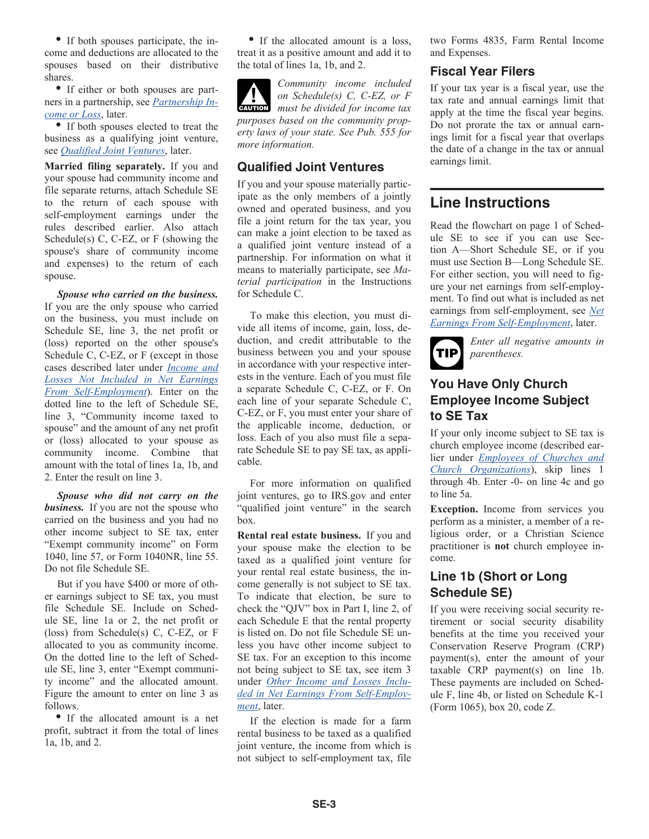• If both spouses participate, the income and deductions are allocated to the spouses based on their distributive shares.

• If either or both spouses are partners in a partnership, see *[Partnership In](#page-3-0)[come or Loss](#page-3-0)*, later.

• If both spouses elected to treat the business as a qualifying joint venture, see *Qualified Joint Ventures*, later.

**Married filing separately.** If you and your spouse had community income and file separate returns, attach Schedule SE to the return of each spouse with self-employment earnings under the rules described earlier. Also attach Schedule(s) C, C-EZ, or F (showing the spouse's share of community income and expenses) to the return of each spouse.

*Spouse who carried on the business.*  If you are the only spouse who carried on the business, you must include on Schedule SE, line 3, the net profit or (loss) reported on the other spouse's Schedule C, C-EZ, or F (except in those cases described later under *[Income and](#page-4-0) [Losses Not Included in Net Earnings](#page-4-0) [From SelfEmployment](#page-4-0)*). Enter on the dotted line to the left of Schedule SE, line 3, "Community income taxed to spouse" and the amount of any net profit or (loss) allocated to your spouse as community income. Combine that amount with the total of lines 1a, 1b, and 2. Enter the result on line 3.

*Spouse who did not carry on the*  **business.** If you are not the spouse who carried on the business and you had no other income subject to SE tax, enter "Exempt community income" on Form 1040, line 57, or Form 1040NR, line 55. Do not file Schedule SE.

But if you have \$400 or more of other earnings subject to SE tax, you must file Schedule SE. Include on Schedule SE, line 1a or 2, the net profit or (loss) from Schedule(s) C, C-EZ, or F allocated to you as community income. On the dotted line to the left of Schedule SE, line 3, enter "Exempt community income" and the allocated amount. Figure the amount to enter on line 3 as follows.

• If the allocated amount is a net profit, subtract it from the total of lines 1a, 1b, and 2.

• If the allocated amount is a loss, treat it as a positive amount and add it to the total of lines 1a, 1b, and 2.

*Community income included on Schedule(s) C, CEZ, or F*  **caution** on Schedule(s) C, C-EZ, or F must be divided for income tax *purposes based on the community property laws of your state. See Pub. 555 for more information.*

#### **Qualified Joint Ventures**

If you and your spouse materially participate as the only members of a jointly owned and operated business, and you file a joint return for the tax year, you can make a joint election to be taxed as a qualified joint venture instead of a partnership. For information on what it means to materially participate, see *Material participation* in the Instructions for Schedule C.

To make this election, you must divide all items of income, gain, loss, deduction, and credit attributable to the business between you and your spouse in accordance with your respective interests in the venture. Each of you must file a separate Schedule C, C-EZ, or F. On each line of your separate Schedule C, C-EZ, or F, you must enter your share of the applicable income, deduction, or loss. Each of you also must file a separate Schedule SE to pay SE tax, as applicable.

For more information on qualified joint ventures, go to IRS.gov and enter "qualified joint venture" in the search box.

**Rental real estate business.** If you and your spouse make the election to be taxed as a qualified joint venture for your rental real estate business, the income generally is not subject to SE tax. To indicate that election, be sure to check the "QJV" box in Part I, line 2, of each Schedule E that the rental property is listed on. Do not file Schedule SE unless you have other income subject to SE tax. For an exception to this income not being subject to SE tax, see item 3 under *[Other Income and Losses Inclu](#page-3-0)*ded in Net Earnings From Self-Employ*[ment](#page-3-0)*, later.

If the election is made for a farm rental business to be taxed as a qualified joint venture, the income from which is not subject to self-employment tax, file

two Forms 4835, Farm Rental Income and Expenses.

#### **Fiscal Year Filers**

If your tax year is a fiscal year, use the tax rate and annual earnings limit that apply at the time the fiscal year begins. Do not prorate the tax or annual earnings limit for a fiscal year that overlaps the date of a change in the tax or annual earnings limit.

## **Line Instructions**

Read the flowchart on page 1 of Schedule SE to see if you can use Section A—Short Schedule SE, or if you must use Section B—Long Schedule SE. For either section, you will need to figure your net earnings from self-employment. To find out what is included as net earnings from self-employment, see *[Net](#page-3-0) Earnings From Self-Employment*, later.



*Enter all negative amounts in parentheses.*

## **You Have Only Church Employee Income Subject to SE Tax**

If your only income subject to SE tax is church employee income (described earlier under *[Employees of Churches and](#page-0-0) [Church Organizations](#page-0-0)*), skip lines 1 through 4b. Enter -0- on line 4c and go to line 5a.

**Exception.** Income from services you perform as a minister, a member of a religious order, or a Christian Science practitioner is **not** church employee income.

### **Line 1b (Short or Long Schedule SE)**

If you were receiving social security retirement or social security disability benefits at the time you received your Conservation Reserve Program (CRP) payment(s), enter the amount of your taxable CRP payment(s) on line 1b. These payments are included on Schedule F, line 4b, or listed on Schedule K-1 (Form 1065), box 20, code Z.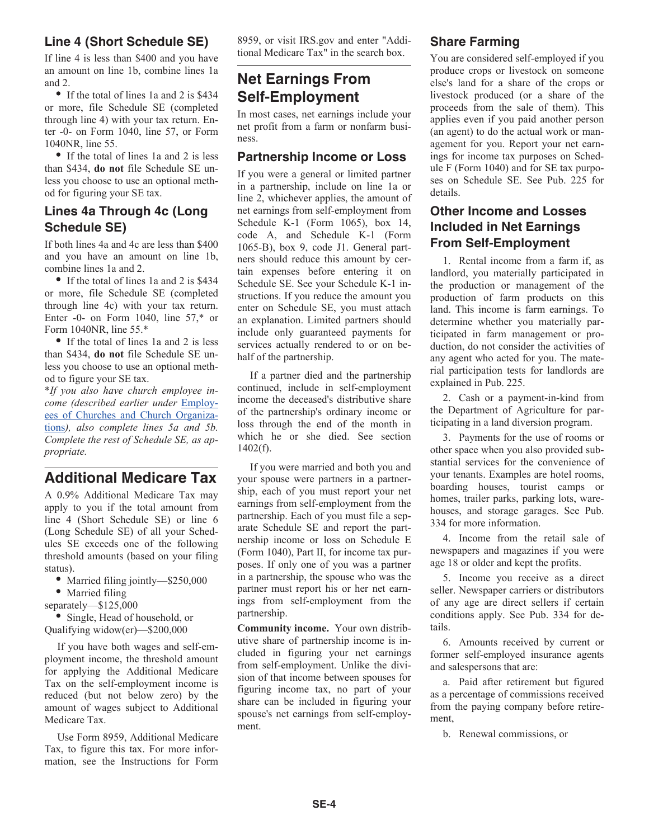## <span id="page-3-0"></span>**Line 4 (Short Schedule SE)**

If line 4 is less than \$400 and you have an amount on line 1b, combine lines 1a and 2.

• If the total of lines 1a and 2 is \$434 or more, file Schedule SE (completed through line 4) with your tax return. Enter -0- on Form 1040, line 57, or Form 1040NR, line 55.

• If the total of lines 1a and 2 is less than \$434, **do not** file Schedule SE unless you choose to use an optional method for figuring your SE tax.

## **Lines 4a Through 4c (Long Schedule SE)**

If both lines 4a and 4c are less than \$400 and you have an amount on line 1b, combine lines 1a and 2.

If the total of lines 1a and 2 is \$434 or more, file Schedule SE (completed through line 4c) with your tax return. Enter -0- on Form 1040, line 57,\* or Form 1040NR, line 55.\*

• If the total of lines 1a and 2 is less than \$434, **do not** file Schedule SE unless you choose to use an optional method to figure your SE tax.

\**If you also have church employee income (described earlier under* [Employ](#page-0-0)[ees of Churches and Church Organiza](#page-0-0)[tions](#page-0-0)*), also complete lines 5a and 5b. Complete the rest of Schedule SE, as appropriate.*

## **Additional Medicare Tax**

A 0.9% Additional Medicare Tax may apply to you if the total amount from line 4 (Short Schedule SE) or line 6 (Long Schedule SE) of all your Schedules SE exceeds one of the following threshold amounts (based on your filing status).

• Married filing jointly—\$250,000

• Married filing

separately—\$125,000

• Single, Head of household, or Qualifying widow(er)—\$200,000

If you have both wages and self-employment income, the threshold amount for applying the Additional Medicare Tax on the self-employment income is reduced (but not below zero) by the amount of wages subject to Additional Medicare Tax.

Use Form 8959, Additional Medicare Tax, to figure this tax. For more information, see the Instructions for Form 8959, or visit IRS.gov and enter "Additional Medicare Tax" in the search box.

## **Net Earnings From Self-Employment**

In most cases, net earnings include your net profit from a farm or nonfarm business.

## **Partnership Income or Loss**

If you were a general or limited partner in a partnership, include on line 1a or line 2, whichever applies, the amount of net earnings from self-employment from Schedule K-1 (Form 1065), box 14, code A, and Schedule K-1 (Form 1065-B), box 9, code J1. General partners should reduce this amount by certain expenses before entering it on Schedule SE. See your Schedule K-1 instructions. If you reduce the amount you enter on Schedule SE, you must attach an explanation. Limited partners should include only guaranteed payments for services actually rendered to or on behalf of the partnership.

If a partner died and the partnership continued, include in self-employment income the deceased's distributive share of the partnership's ordinary income or loss through the end of the month in which he or she died. See section  $1402(f)$ .

If you were married and both you and your spouse were partners in a partnership, each of you must report your net earnings from self-employment from the partnership. Each of you must file a separate Schedule SE and report the partnership income or loss on Schedule E (Form 1040), Part II, for income tax purposes. If only one of you was a partner in a partnership, the spouse who was the partner must report his or her net earnings from self-employment from the partnership.

**Community income.** Your own distributive share of partnership income is included in figuring your net earnings from self-employment. Unlike the division of that income between spouses for figuring income tax, no part of your share can be included in figuring your spouse's net earnings from self-employment.

## **Share Farming**

You are considered self-employed if you produce crops or livestock on someone else's land for a share of the crops or livestock produced (or a share of the proceeds from the sale of them). This applies even if you paid another person (an agent) to do the actual work or management for you. Report your net earnings for income tax purposes on Schedule F (Form 1040) and for SE tax purposes on Schedule SE. See Pub. 225 for details.

## **Other Income and Losses Included in Net Earnings From Self-Employment**

1. Rental income from a farm if, as landlord, you materially participated in the production or management of the production of farm products on this land. This income is farm earnings. To determine whether you materially participated in farm management or production, do not consider the activities of any agent who acted for you. The material participation tests for landlords are explained in Pub. 225.

2. Cash or a payment-in-kind from the Department of Agriculture for participating in a land diversion program.

3. Payments for the use of rooms or other space when you also provided substantial services for the convenience of your tenants. Examples are hotel rooms, boarding houses, tourist camps or homes, trailer parks, parking lots, warehouses, and storage garages. See Pub. 334 for more information.

4. Income from the retail sale of newspapers and magazines if you were age 18 or older and kept the profits.

5. Income you receive as a direct seller. Newspaper carriers or distributors of any age are direct sellers if certain conditions apply. See Pub. 334 for details.

6. Amounts received by current or former self-employed insurance agents and salespersons that are:

a. Paid after retirement but figured as a percentage of commissions received from the paying company before retirement,

b. Renewal commissions, or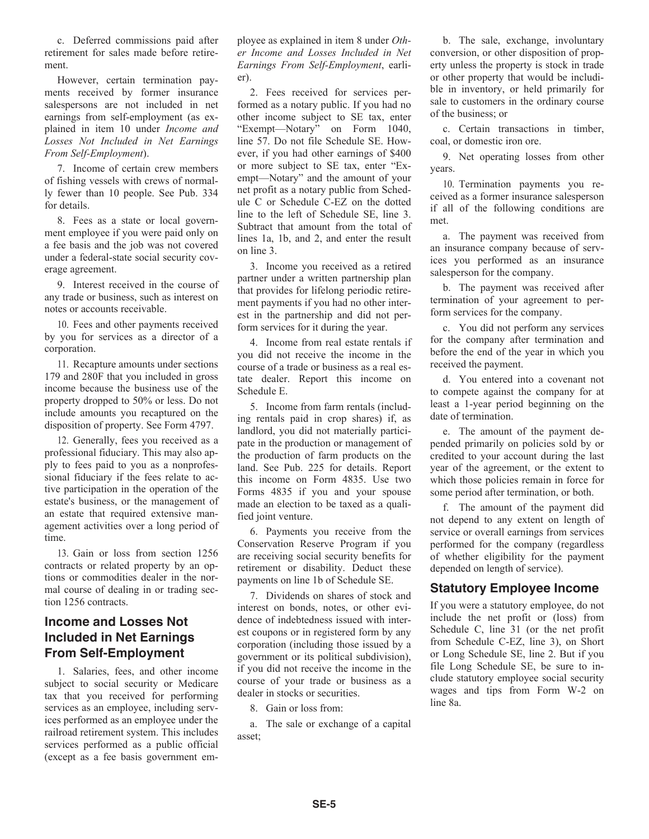<span id="page-4-0"></span>c. Deferred commissions paid after retirement for sales made before retirement.

However, certain termination payments received by former insurance salespersons are not included in net earnings from self-employment (as explained in item 10 under *Income and Losses Not Included in Net Earnings From Self-Employment*).

7. Income of certain crew members of fishing vessels with crews of normally fewer than 10 people. See Pub. 334 for details.

8. Fees as a state or local government employee if you were paid only on a fee basis and the job was not covered under a federal-state social security coverage agreement.

9. Interest received in the course of any trade or business, such as interest on notes or accounts receivable.

10. Fees and other payments received by you for services as a director of a corporation.

11. Recapture amounts under sections 179 and 280F that you included in gross income because the business use of the property dropped to 50% or less. Do not include amounts you recaptured on the disposition of property. See Form 4797.

12. Generally, fees you received as a professional fiduciary. This may also apply to fees paid to you as a nonprofessional fiduciary if the fees relate to active participation in the operation of the estate's business, or the management of an estate that required extensive management activities over a long period of time.

13. Gain or loss from section 1256 contracts or related property by an options or commodities dealer in the normal course of dealing in or trading section 1256 contracts.

## **Income and Losses Not Included in Net Earnings From Self-Employment**

1. Salaries, fees, and other income subject to social security or Medicare tax that you received for performing services as an employee, including services performed as an employee under the railroad retirement system. This includes services performed as a public official (except as a fee basis government employee as explained in item 8 under *Other Income and Losses Included in Net Earnings From SelfEmployment*, earlier).

2. Fees received for services performed as a notary public. If you had no other income subject to SE tax, enter "Exempt—Notary" on Form 1040, line 57. Do not file Schedule SE. However, if you had other earnings of \$400 or more subject to SE tax, enter "Exempt—Notary" and the amount of your net profit as a notary public from Schedule C or Schedule C-EZ on the dotted line to the left of Schedule SE, line 3. Subtract that amount from the total of lines 1a, 1b, and 2, and enter the result on line 3.

3. Income you received as a retired partner under a written partnership plan that provides for lifelong periodic retirement payments if you had no other interest in the partnership and did not perform services for it during the year.

4. Income from real estate rentals if you did not receive the income in the course of a trade or business as a real estate dealer. Report this income on Schedule E.

5. Income from farm rentals (including rentals paid in crop shares) if, as landlord, you did not materially participate in the production or management of the production of farm products on the land. See Pub. 225 for details. Report this income on Form 4835. Use two Forms 4835 if you and your spouse made an election to be taxed as a qualified joint venture.

6. Payments you receive from the Conservation Reserve Program if you are receiving social security benefits for retirement or disability. Deduct these payments on line 1b of Schedule SE.

7. Dividends on shares of stock and interest on bonds, notes, or other evidence of indebtedness issued with interest coupons or in registered form by any corporation (including those issued by a government or its political subdivision), if you did not receive the income in the course of your trade or business as a dealer in stocks or securities.

8. Gain or loss from:

a. The sale or exchange of a capital asset;

b. The sale, exchange, involuntary conversion, or other disposition of property unless the property is stock in trade or other property that would be includible in inventory, or held primarily for sale to customers in the ordinary course of the business; or

c. Certain transactions in timber, coal, or domestic iron ore.

9. Net operating losses from other years.

10. Termination payments you received as a former insurance salesperson if all of the following conditions are met.

a. The payment was received from an insurance company because of services you performed as an insurance salesperson for the company.

b. The payment was received after termination of your agreement to perform services for the company.

c. You did not perform any services for the company after termination and before the end of the year in which you received the payment.

d. You entered into a covenant not to compete against the company for at least a 1-year period beginning on the date of termination.

e. The amount of the payment depended primarily on policies sold by or credited to your account during the last year of the agreement, or the extent to which those policies remain in force for some period after termination, or both.

f. The amount of the payment did not depend to any extent on length of service or overall earnings from services performed for the company (regardless of whether eligibility for the payment depended on length of service).

## **Statutory Employee Income**

If you were a statutory employee, do not include the net profit or (loss) from Schedule C, line 31 (or the net profit from Schedule C-EZ, line 3), on Short or Long Schedule SE, line 2. But if you file Long Schedule SE, be sure to include statutory employee social security wages and tips from Form W-2 on line 8a.